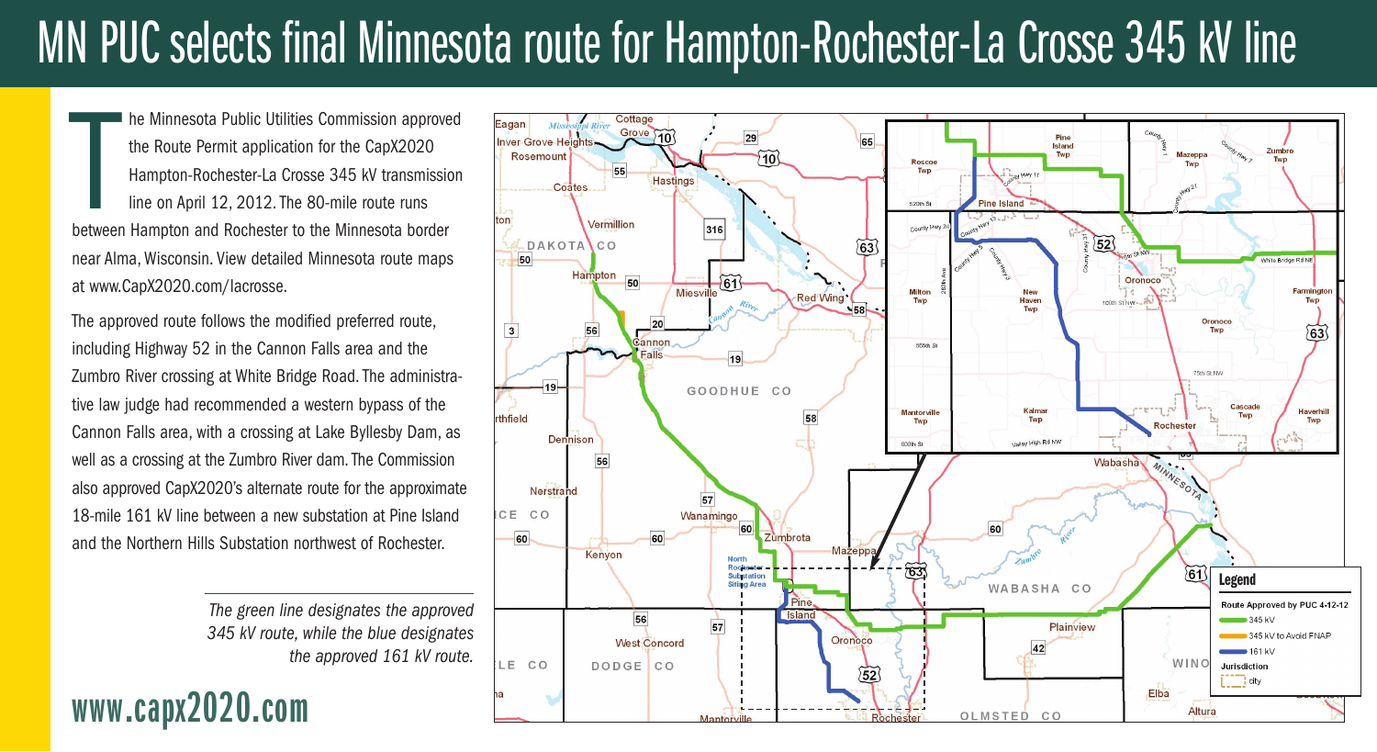## MN PUC selects final Minnesota route for Hampton-Rochester-La Crosse 345 kV line

he Minnesota Public Utilities Commission approve<br>the Route Permit application for the CapX2020<br>Hampton-Rochester-La Crosse 345 kV transmissi<br>line on April 12, 2012. The 80-mile route runs<br>between Hampton and Rochester to t he Minnesota Public Utilities Commission approved the Route Permit application for the CapX2020 Hampton-Rochester-La Crosse 345 kV transmission line on April 12, 2012. The 80-mile route runs near Alma, Wisconsin. View detailed Minnesota route maps at www.CapX2020.com/lacrosse.

The approved route follows the modified preferred route, including Highway 52 in the Cannon Falls area and the Zumbro River crossing at White Bridge Road. The administrative law judge had recommended a western bypass of the Cannon Falls area, with a crossing at Lake Byllesby Dam, as well as a crossing at the Zumbro River dam. The Commission also approved CapX2020's alternate route for the approximate 18-mile 161 kV line between a new substation at Pine Island and the Northern Hills Substation northwest of Rochester.

> *The green line designates the approved 345 kV route, while the blue designates the approved 161 kV route.*

### **www.capx2020.com**